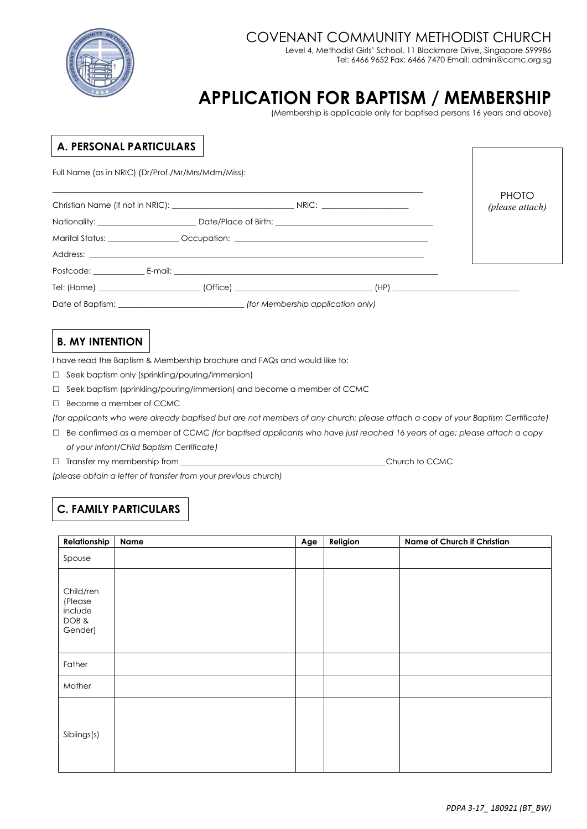

## COVENANT COMMUNITY METHODIST CHURCH

Level 4, Methodist Girls' School, 11 Blackmore Drive, Singapore 599986 Tel: 6466 9652 Fax: 6466 7470 Email: admin@ccmc.org.sg

# **APPLICATION FOR BAPTISM / MEMBERSHIP**

(Membership is applicable only for baptised persons 16 years and above)

#### **A. PERSONAL PARTICULARS**

Full Name (as in NRIC) (Dr/Prof./Mr/Mrs/Mdm/Miss):

|  |                                                                                   |  | <b>PHOTO</b><br>(please attach) |
|--|-----------------------------------------------------------------------------------|--|---------------------------------|
|  | Nationality: ________________________Date/Place of Birth: _______________________ |  |                                 |
|  | Marital Status: __________________Occupation: __________________________________  |  |                                 |
|  |                                                                                   |  |                                 |
|  |                                                                                   |  |                                 |
|  |                                                                                   |  |                                 |
|  |                                                                                   |  |                                 |

## **B. MY INTENTION**

I have read the Baptism & Membership brochure and FAQs and would like to:

- $\Box$  Seek baptism only (sprinkling/pouring/immersion)
- $\Box$  Seek baptism (sprinkling/pouring/immersion) and become a member of CCMC
- □ Become a member of CCMC

*(for applicants who were already baptised but are not members of any church; please attach a copy of your Baptism Certificate)*

- Be confirmed as a member of CCMC *(for baptised applicants who have just reached 16 years of age; please attach a copy of your Infant/Child Baptism Certificate)*
- $\Box$  Transfer my membership from  $\Box$  Transfer my membership from  $\Box$

*(please obtain a letter of transfer from your previous church)*

## **C. FAMILY PARTICULARS**

| Relationship                                       | Name | Age | Religion | Name of Church if Christian |
|----------------------------------------------------|------|-----|----------|-----------------------------|
| Spouse                                             |      |     |          |                             |
| Child/ren<br>(Please<br>include<br>DOB&<br>Gender) |      |     |          |                             |
| Father                                             |      |     |          |                             |
| Mother                                             |      |     |          |                             |
| Siblings(s)                                        |      |     |          |                             |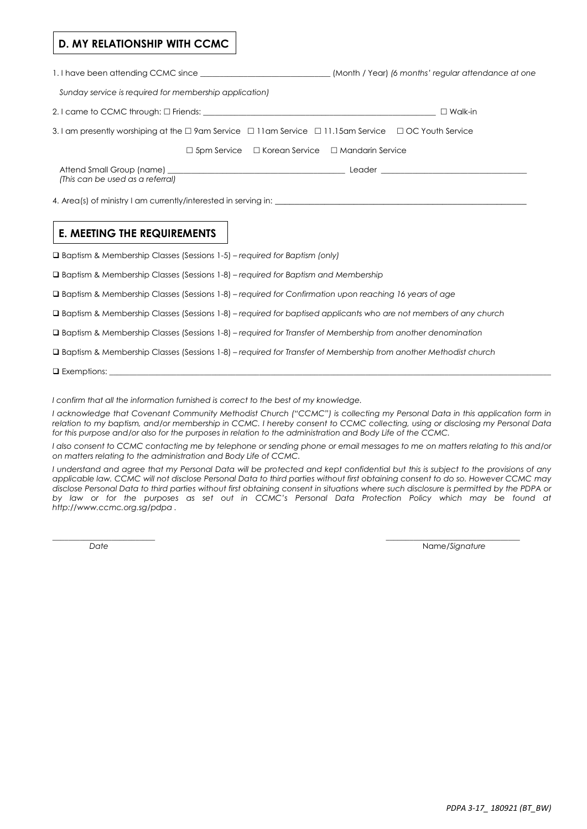#### **D. MY RELATIONSHIP WITH CCMC**

*Sunday service is required for membership application)*

2. I came to CCMC through: Friends: \_\_\_\_\_\_\_\_\_\_\_\_\_\_\_\_\_\_\_\_\_\_\_\_\_\_\_\_\_\_\_\_\_\_\_\_\_\_\_\_\_\_\_\_\_\_\_\_\_\_\_\_\_\_\_\_\_\_\_ Walk-in

| 3. I am presently worshiping at the $\Box$ 9am Service $\Box$ 11am Service $\Box$ 11.15am Service $\Box$ OC Youth Service |  |  |
|---------------------------------------------------------------------------------------------------------------------------|--|--|
|                                                                                                                           |  |  |

 $\Box$  5pm Service  $\Box$  Korean Service  $\Box$  Mandarin Service

Attend Small Group (name) \_\_\_\_\_\_\_\_\_\_\_\_\_\_\_\_\_\_\_\_\_\_\_\_\_\_\_\_\_\_\_\_\_\_\_\_\_\_\_\_\_\_\_\_\_ Leader \_\_\_\_\_\_\_\_\_\_\_\_\_\_\_\_\_\_\_\_\_\_\_\_\_\_\_\_\_\_\_\_\_\_\_\_\_ *(This can be used as a referral)*

4. Area(s) of ministry I am currently/interested in serving in:

#### **E. MEETING THE REQUIREMENTS**

Baptism & Membership Classes (Sessions 1-5) *– required for Baptism (only)*

Baptism & Membership Classes (Sessions 1-8) *– required for Baptism and Membership*

Baptism & Membership Classes (Sessions 1-8) *– required for Confirmation upon reaching 16 years of age*

Baptism & Membership Classes (Sessions 1-8) *– required for baptised applicants who are not members of any church*

Baptism & Membership Classes (Sessions 1-8) *– required for Transfer of Membership from another denomination*

Baptism & Membership Classes (Sessions 1-8) *– required for Transfer of Membership from another Methodist church*

 $\Box$  Exemptions:

*I confirm that all the information furnished is correct to the best of my knowledge.*

*I acknowledge that Covenant Community Methodist Church ("CCMC") is collecting my Personal Data in this application form in relation to my baptism, and/or membership in CCMC. I hereby consent to CCMC collecting, using or disclosing my Personal Data for this purpose and/or also for the purposes in relation to the administration and Body Life of the CCMC.*

*I also consent to CCMC contacting me by telephone or sending phone or email messages to me on matters relating to this and/or on matters relating to the administration and Body Life of CCMC.*

*I understand and agree that my Personal Data will be protected and kept confidential but this is subject to the provisions of any applicable law. CCMC will not disclose Personal Data to third parties without first obtaining consent to do so. However CCMC may disclose Personal Data to third parties without first obtaining consent in situations where such disclosure is permitted by the PDPA or by law or for the purposes as set out in CCMC's Personal Data Protection Policy which may be found at <http://www.ccmc.org.sg/pdpa> .*

 $\_$  , and the contribution of the contribution of the contribution of  $\_$  , and  $\_$  , and  $\_$  , and  $\_$ 

*Date* Name/*Signature*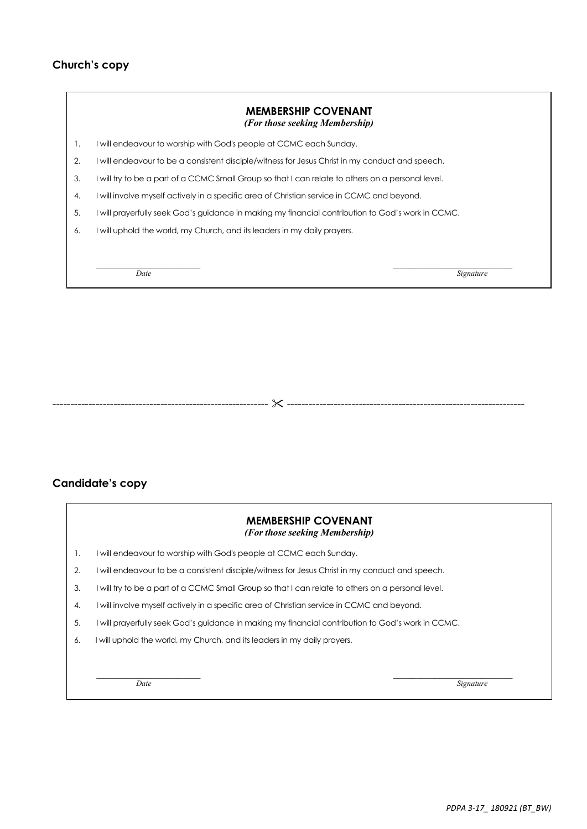#### **Church's copy**

|    | <b>MEMBERSHIP COVENANT</b><br>(For those seeking Membership)                                      |
|----|---------------------------------------------------------------------------------------------------|
| 1. | I will endeavour to worship with God's people at CCMC each Sunday.                                |
| 2. | I will endeavour to be a consistent disciple/witness for Jesus Christ in my conduct and speech.   |
| 3. | I will try to be a part of a CCMC Small Group so that I can relate to others on a personal level. |
| 4. | I will involve myself actively in a specific area of Christian service in CCMC and beyond.        |
| 5. | I will prayerfully seek God's guidance in making my financial contribution to God's work in CCMC. |
| 6. | I will uphold the world, my Church, and its leaders in my daily prayers.                          |
|    |                                                                                                   |
|    | Date<br>Signature                                                                                 |

# **Candidate's copy**

|    | <b>MEMBERSHIP COVENANT</b><br>(For those seeking Membership)                                      |
|----|---------------------------------------------------------------------------------------------------|
| 1. | will endeavour to worship with God's people at CCMC each Sunday.                                  |
| 2. | I will endeavour to be a consistent disciple/witness for Jesus Christ in my conduct and speech.   |
| 3. | I will try to be a part of a CCMC Small Group so that I can relate to others on a personal level. |
| 4. | I will involve myself actively in a specific area of Christian service in CCMC and beyond.        |
| 5. | will prayerfully seek God's guidance in making my financial contribution to God's work in CCMC.   |
| 6. | I will uphold the world, my Church, and its leaders in my daily prayers.                          |
|    |                                                                                                   |
|    | Date<br>Signature                                                                                 |

------------------------------------------------------------ ------------------------------------------------------------------

*PDPA 3-17\_ 180921 (BT\_BW)* 

٦